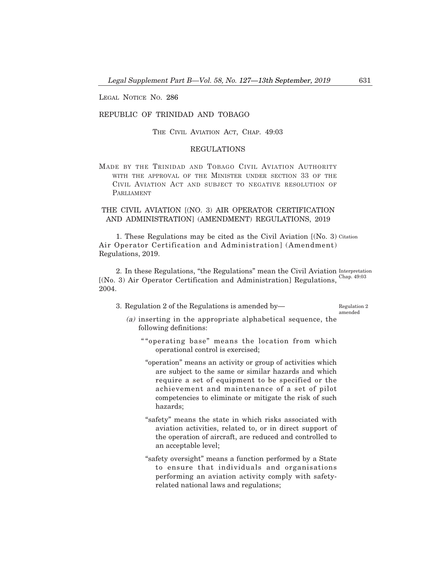LEGAL NOTICE NO. 286

## REPUBLIC OF TRINIDAD AND TOBAGO

THE CIVIL AVIATION ACT, CHAP. 49:03

# REGULATIONS

MADE BY THE TRINIDAD AND TOBAGO CIVIL AVIATION AUTHORITY WITH THE APPROVAL OF THE MINISTER UNDER SECTION 33 OF THE CIVIL AVIATION ACT AND SUBJECT TO NEGATIVE RESOLUTION OF PARLIAMENT

# THE CIVIL AVIATION [(NO. 3) AIR OPERATOR CERTIFICATION AND ADMINISTRATION] (AMENDMENT) REGULATIONS, 2019

1. These Regulations may be cited as the Civil Aviation [(No. 3) Citation Air Operator Certification and Administration] (Amendment) Regulations, 2019.

2. In these Regulations, "the Regulations" mean the Civil Aviation Interpretation [(No. 3) Air Operator Certification and Administration] Regulations, Chap. 49:03 2004.

3. Regulation 2 of the Regulations is amended by–

Regulation 2 amended

- (a) inserting in the appropriate alphabetical sequence, the following definitions:
	- " "operating base" means the location from which operational control is exercised;
	- "operation" means an activity or group of activities which are subject to the same or similar hazards and which require a set of equipment to be specified or the achievement and maintenance of a set of pilot competencies to eliminate or mitigate the risk of such hazards;
	- "safety" means the state in which risks associated with aviation activities, related to, or in direct support of the operation of aircraft, are reduced and controlled to an acceptable level;
	- "safety oversight" means a function performed by a State to ensure that individuals and organisations performing an aviation activity comply with safetyrelated national laws and regulations;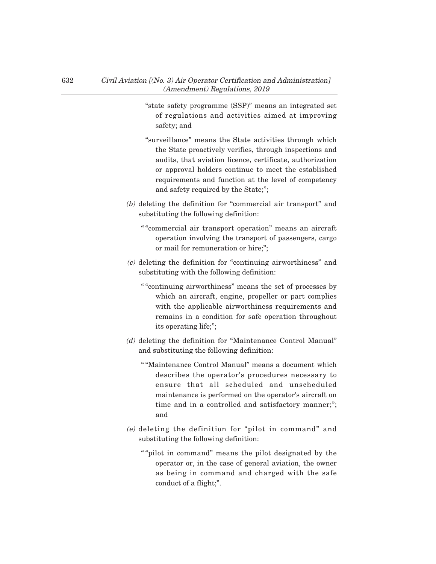- "state safety programme (SSP)" means an integrated set of regulations and activities aimed at improving safety; and
- "surveillance" means the State activities through which the State proactively verifies, through inspections and audits, that aviation licence, certificate, authorization or approval holders continue to meet the established requirements and function at the level of competency and safety required by the State;";
- (b) deleting the definition for "commercial air transport" and substituting the following definition:
	- " "commercial air transport operation" means an aircraft operation involving the transport of passengers, cargo or mail for remuneration or hire;";
- (c) deleting the definition for "continuing airworthiness" and substituting with the following definition:
	- " "continuing airworthiness" means the set of processes by which an aircraft, engine, propeller or part complies with the applicable airworthiness requirements and remains in a condition for safe operation throughout its operating life;";
- (d) deleting the definition for "Maintenance Control Manual" and substituting the following definition:
	- " "Maintenance Control Manual" means a document which describes the operator's procedures necessary to ensure that all scheduled and unscheduled maintenance is performed on the operator's aircraft on time and in a controlled and satisfactory manner;"; and
- (e) deleting the definition for "pilot in command" and substituting the following definition:
	- " "pilot in command" means the pilot designated by the operator or, in the case of general aviation, the owner as being in command and charged with the safe conduct of a flight;".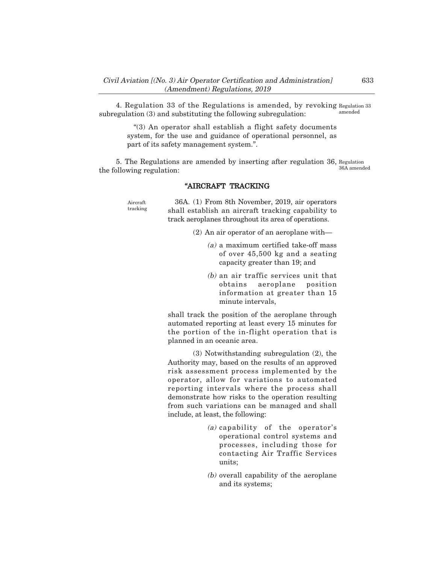4. Regulation 33 of the Regulations is amended, by revoking Regulation 33 subregulation (3) and substituting the following subregulation: amended

> "(3) An operator shall establish a flight safety documents system, for the use and guidance of operational personnel, as part of its safety management system.".

5. The Regulations are amended by inserting after regulation 36, Regulation the following regulation: 36A amended

### "AIRCRAFT TRACKING

Aircraft tracking

36A. (1) From 8th November, 2019, air operators shall establish an aircraft tracking capability to track aeroplanes throughout its area of operations.

- $(2)$  An air operator of an aeroplane with—
	- (a) a maximum certified take-off mass of over 45,500 kg and a seating capacity greater than 19; and
	- (b) an air traffic services unit that obtains aeroplane position information at greater than 15 minute intervals,

shall track the position of the aeroplane through automated reporting at least every 15 minutes for the portion of the in-flight operation that is planned in an oceanic area.

(3) Notwithstanding subregulation (2), the Authority may, based on the results of an approved risk assessment process implemented by the operator, allow for variations to automated reporting intervals where the process shall demonstrate how risks to the operation resulting from such variations can be managed and shall include, at least, the following:

- (a) capability of the operator's operational control systems and processes, including those for contacting Air Traffic Services units;
- (b) overall capability of the aeroplane and its systems;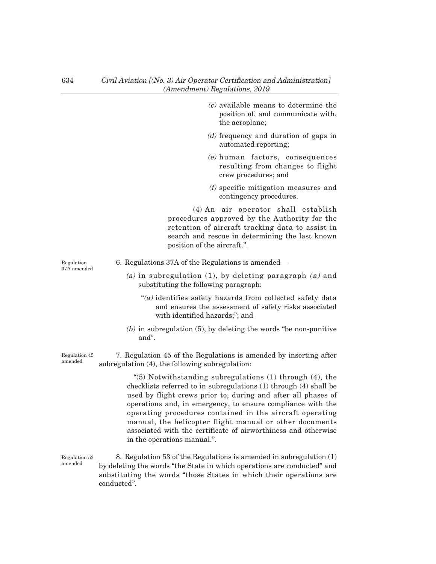- $(c)$  available means to determine the position of, and communicate with, the aeroplane;
- (d) frequency and duration of gaps in automated reporting;
- (e) human factors, consequences resulting from changes to flight crew procedures; and
- (f) specific mitigation measures and contingency procedures.

(4) An air operator shall establish procedures approved by the Authority for the retention of aircraft tracking data to assist in search and rescue in determining the last known position of the aircraft.".

Regulation 37A amended 6. Regulations 37A of the Regulations is amended–

- (a) in subregulation (1), by deleting paragraph  $(a)$  and substituting the following paragraph:
	- "(a) identifies safety hazards from collected safety data and ensures the assessment of safety risks associated with identified hazards;"; and
- $(b)$  in subregulation  $(5)$ , by deleting the words "be non-punitive" and".

Regulation 45 amended

7. Regulation 45 of the Regulations is amended by inserting after subregulation (4), the following subregulation:

> "(5) Notwithstanding subregulations (1) through (4), the checklists referred to in subregulations (1) through (4) shall be used by flight crews prior to, during and after all phases of operations and, in emergency, to ensure compliance with the operating procedures contained in the aircraft operating manual, the helicopter flight manual or other documents associated with the certificate of airworthiness and otherwise in the operations manual.".

8. Regulation 53 of the Regulations is amended in subregulation (1) by deleting the words "the State in which operations are conducted" and substituting the words "those States in which their operations are conducted". Regulation 53 amended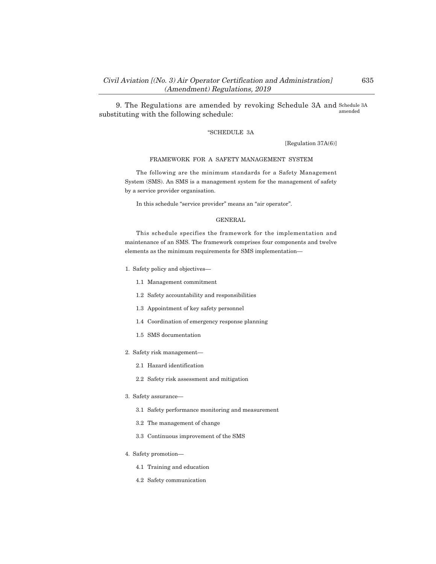9. The Regulations are amended by revoking Schedule 3A and Schedule 3A substituting with the following schedule: amended

## "SCHEDULE 3A

[Regulation 37A(6)]

#### FRAMEWORK FOR A SAFETY MANAGEMENT SYSTEM

The following are the minimum standards for a Safety Management System (SMS). An SMS is a management system for the management of safety by a service provider organisation.

In this schedule "service provider" means an "air operator".

### GENERAL

This schedule specifies the framework for the implementation and maintenance of an SMS. The framework comprises four components and twelve elements as the minimum requirements for SMS implementation–

- 1. Safety policy and objectives–
	- 1.1 Management commitment
	- 1.2 Safety accountability and responsibilities
	- 1.3 Appointment of key safety personnel
	- 1.4 Coordination of emergency response planning
	- 1.5 SMS documentation
- 2. Safety risk management–
	- 2.1 Hazard identification
	- 2.2 Safety risk assessment and mitigation
- 3. Safety assurance–
	- 3.1 Safety performance monitoring and measurement
	- 3.2 The management of change
	- 3.3 Continuous improvement of the SMS
- 4. Safety promotion–
	- 4.1 Training and education
	- 4.2 Safety communication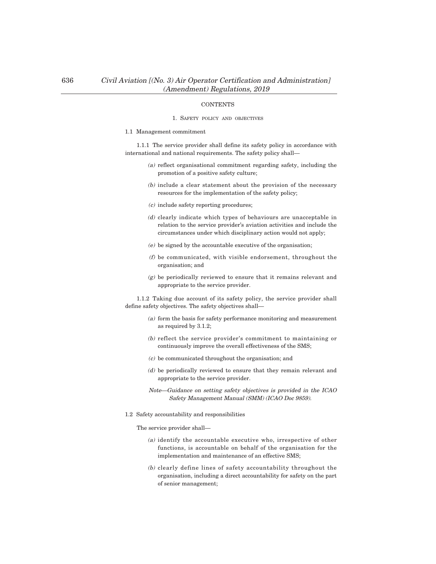## **CONTENTS**

### 1. SAFETY POLICY AND OBJECTIVES

#### 1.1 Management commitment

1.1.1 The service provider shall define its safety policy in accordance with international and national requirements. The safety policy shall–

- (a) reflect organisational commitment regarding safety, including the promotion of a positive safety culture;
- (b) include a clear statement about the provision of the necessary resources for the implementation of the safety policy;
- (c) include safety reporting procedures;
- (d) clearly indicate which types of behaviours are unacceptable in relation to the service provider's aviation activities and include the circumstances under which disciplinary action would not apply;
- (e) be signed by the accountable executive of the organisation;
- (f) be communicated, with visible endorsement, throughout the organisation; and
- (g) be periodically reviewed to ensure that it remains relevant and appropriate to the service provider.

1.1.2 Taking due account of its safety policy, the service provider shall define safety objectives. The safety objectives shall–

- (a) form the basis for safety performance monitoring and measurement as required by 3.1.2;
- (b) reflect the service provider's commitment to maintaining or continuously improve the overall effectiveness of the SMS;
- (c) be communicated throughout the organisation; and
- (d) be periodically reviewed to ensure that they remain relevant and appropriate to the service provider.
- Note–Guidance on setting safety objectives is provided in the ICAO Safety Management Manual (SMM) (ICAO Doc 9859).
- 1.2 Safety accountability and responsibilities

The service provider shall–

- (a) identify the accountable executive who, irrespective of other functions, is accountable on behalf of the organisation for the implementation and maintenance of an effective SMS;
- (b) clearly define lines of safety accountability throughout the organisation, including a direct accountability for safety on the part of senior management;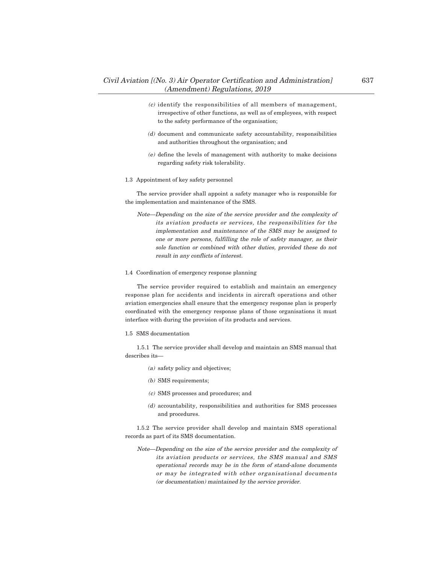- (c) identify the responsibilities of all members of management, irrespective of other functions, as well as of employees, with respect to the safety performance of the organisation;
- (d) document and communicate safety accountability, responsibilities and authorities throughout the organisation; and
- (e) define the levels of management with authority to make decisions regarding safety risk tolerability.
- 1.3 Appointment of key safety personnel

The service provider shall appoint a safety manager who is responsible for the implementation and maintenance of the SMS.

- Note–Depending on the size of the service provider and the complexity of its aviation products or services, the responsibilities for the implementation and maintenance of the SMS may be assigned to one or more persons, fulfilling the role of safety manager, as their sole function or combined with other duties, provided these do not result in any conflicts of interest.
- 1.4 Coordination of emergency response planning

The service provider required to establish and maintain an emergency response plan for accidents and incidents in aircraft operations and other aviation emergencies shall ensure that the emergency response plan is properly coordinated with the emergency response plans of those organisations it must interface with during the provision of its products and services.

1.5 SMS documentation

1.5.1 The service provider shall develop and maintain an SMS manual that describes its–

- (a) safety policy and objectives;
- (b) SMS requirements;
- (c) SMS processes and procedures; and
- (d) accountability, responsibilities and authorities for SMS processes and procedures.

1.5.2 The service provider shall develop and maintain SMS operational records as part of its SMS documentation.

Note–Depending on the size of the service provider and the complexity of its aviation products or services, the SMS manual and SMS operational records may be in the form of stand-alone documents or may be integrated with other organisational documents (or documentation) maintained by the service provider.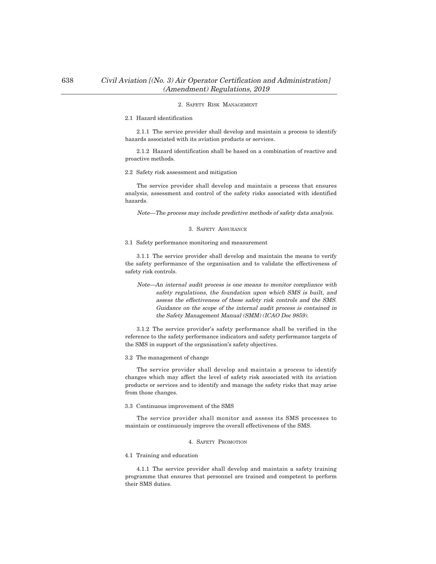## 638 Civil Aviation [(No. 3) Air Operator Certification and Administration] (Amendment) Regulations, 2019

#### 2. SAFETY RISK MANAGEMENT

### 2.1 Hazard identification

2.1.1 The service provider shall develop and maintain a process to identify hazards associated with its aviation products or services.

2.1.2 Hazard identification shall be based on a combination of reactive and proactive methods.

#### 2.2 Safety risk assessment and mitigation

The service provider shall develop and maintain a process that ensures analysis, assessment and control of the safety risks associated with identified hazards.

Note–The process may include predictive methods of safety data analysis.

#### 3. SAFETY ASSURANCE

3.1 Safety performance monitoring and measurement

3.1.1 The service provider shall develop and maintain the means to verify the safety performance of the organisation and to validate the effectiveness of safety risk controls.

Note–An internal audit process is one means to monitor compliance with safety regulations, the foundation upon which SMS is built, and assess the effectiveness of these safety risk controls and the SMS. Guidance on the scope of the internal audit process is contained in the Safety Management Manual (SMM) (ICAO Doc 9859).

3.1.2 The service provider's safety performance shall be verified in the reference to the safety performance indicators and safety performance targets of the SMS in support of the organisation's safety objectives.

#### 3.2 The management of change

The service provider shall develop and maintain a process to identify changes which may affect the level of safety risk associated with its aviation products or services and to identify and manage the safety risks that may arise from those changes.

#### 3.3 Continuous improvement of the SMS

The service provider shall monitor and assess its SMS processes to maintain or continuously improve the overall effectiveness of the SMS.

### 4. SAFETY PROMOTION

#### 4.1 Training and education

4.1.1 The service provider shall develop and maintain a safety training programme that ensures that personnel are trained and competent to perform their SMS duties.